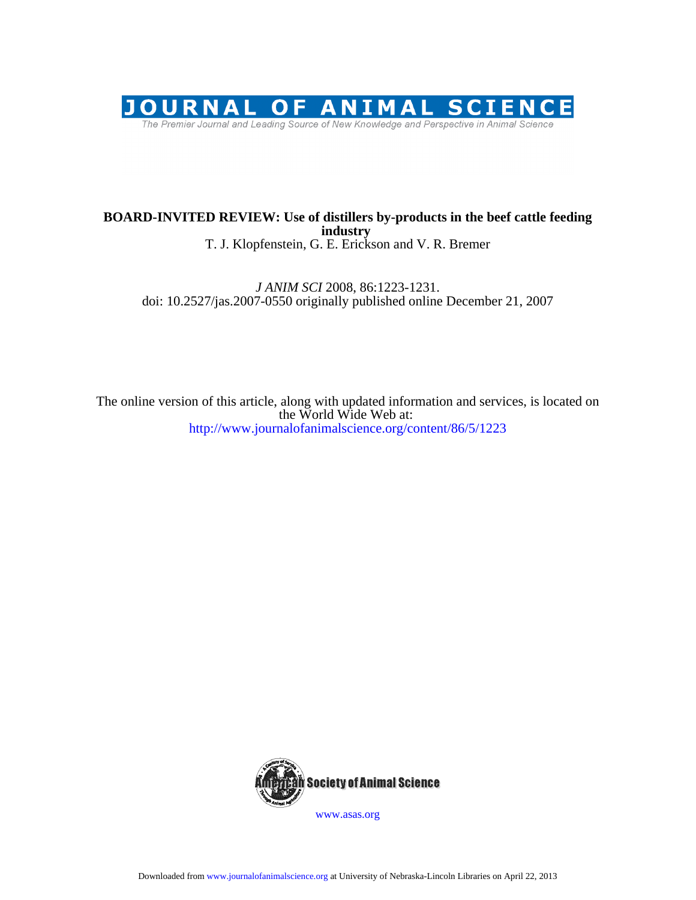

### T. J. Klopfenstein, G. E. Erickson and V. R. Bremer **industry BOARD-INVITED REVIEW: Use of distillers by-products in the beef cattle feeding**

doi: 10.2527/jas.2007-0550 originally published online December 21, 2007 *J ANIM SCI* 2008, 86:1223-1231.

http://www.journalofanimalscience.org/content/86/5/1223 the World Wide Web at: The online version of this article, along with updated information and services, is located on



www.asas.org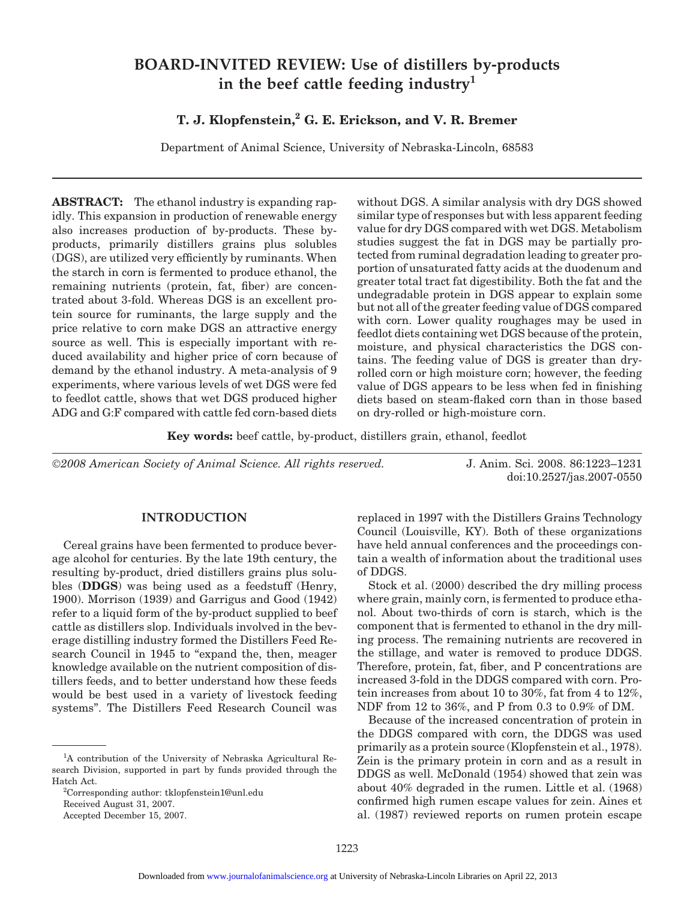# **BOARD-INVITED REVIEW: Use of distillers by-products in the beef cattle feeding industry1**

## **T. J. Klopfenstein,2 G. E. Erickson, and V. R. Bremer**

Department of Animal Science, University of Nebraska-Lincoln, 68583

**ABSTRACT:** The ethanol industry is expanding rapidly. This expansion in production of renewable energy also increases production of by-products. These byproducts, primarily distillers grains plus solubles (DGS), are utilized very efficiently by ruminants. When the starch in corn is fermented to produce ethanol, the remaining nutrients (protein, fat, fiber) are concentrated about 3-fold. Whereas DGS is an excellent protein source for ruminants, the large supply and the price relative to corn make DGS an attractive energy source as well. This is especially important with reduced availability and higher price of corn because of demand by the ethanol industry. A meta-analysis of 9 experiments, where various levels of wet DGS were fed to feedlot cattle, shows that wet DGS produced higher ADG and G:F compared with cattle fed corn-based diets without DGS. A similar analysis with dry DGS showed similar type of responses but with less apparent feeding value for dry DGS compared with wet DGS. Metabolism studies suggest the fat in DGS may be partially protected from ruminal degradation leading to greater proportion of unsaturated fatty acids at the duodenum and greater total tract fat digestibility. Both the fat and the undegradable protein in DGS appear to explain some but not all of the greater feeding value of DGS compared with corn. Lower quality roughages may be used in feedlot diets containing wet DGS because of the protein, moisture, and physical characteristics the DGS contains. The feeding value of DGS is greater than dryrolled corn or high moisture corn; however, the feeding value of DGS appears to be less when fed in finishing diets based on steam-flaked corn than in those based on dry-rolled or high-moisture corn.

**Key words:** beef cattle, by-product, distillers grain, ethanol, feedlot

©*2008 American Society of Animal Science. All rights reserved.* J. Anim. Sci. 2008. 86:1223–1231

doi:10.2527/jas.2007-0550

#### **INTRODUCTION**

Cereal grains have been fermented to produce beverage alcohol for centuries. By the late 19th century, the resulting by-product, dried distillers grains plus solubles (**DDGS**) was being used as a feedstuff (Henry, 1900). Morrison (1939) and Garrigus and Good (1942) refer to a liquid form of the by-product supplied to beef cattle as distillers slop. Individuals involved in the beverage distilling industry formed the Distillers Feed Research Council in 1945 to "expand the, then, meager knowledge available on the nutrient composition of distillers feeds, and to better understand how these feeds would be best used in a variety of livestock feeding systems". The Distillers Feed Research Council was replaced in 1997 with the Distillers Grains Technology Council (Louisville, KY). Both of these organizations have held annual conferences and the proceedings contain a wealth of information about the traditional uses of DDGS.

Stock et al. (2000) described the dry milling process where grain, mainly corn, is fermented to produce ethanol. About two-thirds of corn is starch, which is the component that is fermented to ethanol in the dry milling process. The remaining nutrients are recovered in the stillage, and water is removed to produce DDGS. Therefore, protein, fat, fiber, and P concentrations are increased 3-fold in the DDGS compared with corn. Protein increases from about 10 to 30%, fat from 4 to 12%, NDF from 12 to 36%, and P from 0.3 to 0.9% of DM.

Because of the increased concentration of protein in the DDGS compared with corn, the DDGS was used primarily as a protein source (Klopfenstein et al., 1978). Zein is the primary protein in corn and as a result in DDGS as well. McDonald (1954) showed that zein was about 40% degraded in the rumen. Little et al. (1968) confirmed high rumen escape values for zein. Aines et al. (1987) reviewed reports on rumen protein escape

<sup>&</sup>lt;sup>1</sup>A contribution of the University of Nebraska Agricultural Research Division, supported in part by funds provided through the Hatch Act.

<sup>2</sup> Corresponding author: tklopfenstein1@unl.edu

Received August 31, 2007.

Accepted December 15, 2007.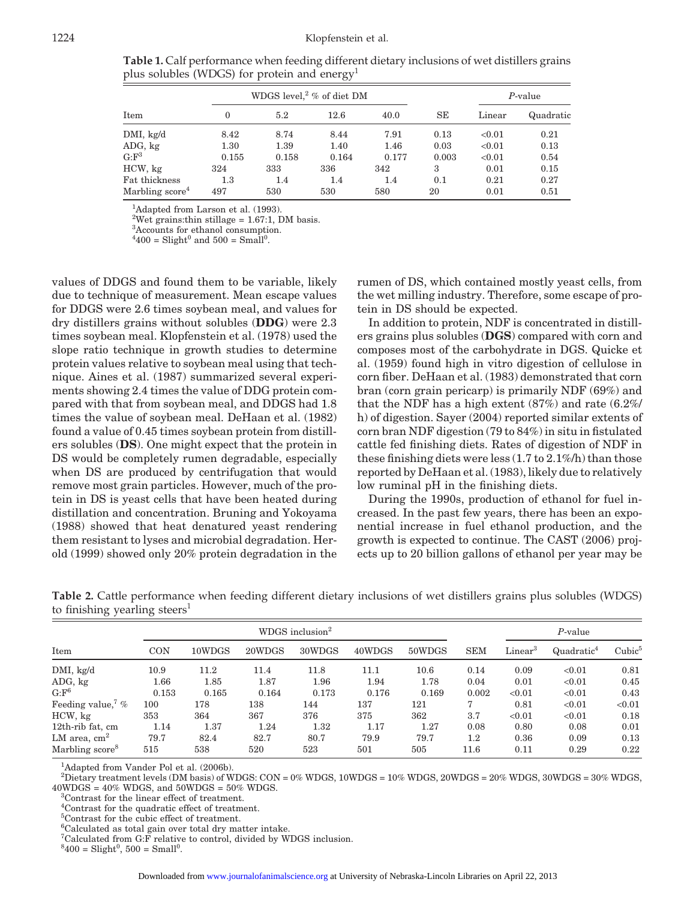**Table 1.** Calf performance when feeding different dietary inclusions of wet distillers grains plus solubles (WDGS) for protein and energy<sup>1</sup>

|                             |         | WDGS level, <sup>2</sup> $\%$ of diet DM |         |       |       | P-value |           |
|-----------------------------|---------|------------------------------------------|---------|-------|-------|---------|-----------|
| Item                        | 0       | 5.2                                      | 12.6    | 40.0  | SE    | Linear  | Quadratic |
| DMI, kg/d                   | 8.42    | 8.74                                     | 8.44    | 7.91  | 0.13  | < 0.01  | 0.21      |
| ADG, kg                     | 1.30    | 1.39                                     | 1.40    | 1.46  | 0.03  | < 0.01  | 0.13      |
| $G: F^3$                    | 0.155   | 0.158                                    | 0.164   | 0.177 | 0.003 | < 0.01  | 0.54      |
| HCW, kg                     | 324     | 333                                      | 336     | 342   | 3     | 0.01    | 0.15      |
| Fat thickness               | $1.3\,$ | 1.4                                      | $1.4\,$ | 1.4   | 0.1   | 0.21    | 0.27      |
| Marbling score <sup>4</sup> | 497     | 530                                      | 530     | 580   | 20    | 0.01    | 0.51      |

<sup>1</sup>Adapted from Larson et al. (1993).

<sup>2</sup>Wet grains: thin stillage = 1.67:1, DM basis.

3 Accounts for ethanol consumption.

 $4400 =$  Slight<sup>0</sup> and  $500 =$  Small<sup>0</sup>.

values of DDGS and found them to be variable, likely due to technique of measurement. Mean escape values for DDGS were 2.6 times soybean meal, and values for dry distillers grains without solubles (**DDG**) were 2.3 times soybean meal. Klopfenstein et al. (1978) used the slope ratio technique in growth studies to determine protein values relative to soybean meal using that technique. Aines et al. (1987) summarized several experiments showing 2.4 times the value of DDG protein compared with that from soybean meal, and DDGS had 1.8 times the value of soybean meal. DeHaan et al. (1982) found a value of 0.45 times soybean protein from distillers solubles (**DS**). One might expect that the protein in DS would be completely rumen degradable, especially when DS are produced by centrifugation that would remove most grain particles. However, much of the protein in DS is yeast cells that have been heated during distillation and concentration. Bruning and Yokoyama (1988) showed that heat denatured yeast rendering them resistant to lyses and microbial degradation. Herold (1999) showed only 20% protein degradation in the rumen of DS, which contained mostly yeast cells, from the wet milling industry. Therefore, some escape of protein in DS should be expected.

In addition to protein, NDF is concentrated in distillers grains plus solubles (**DGS**) compared with corn and composes most of the carbohydrate in DGS. Quicke et al. (1959) found high in vitro digestion of cellulose in corn fiber. DeHaan et al. (1983) demonstrated that corn bran (corn grain pericarp) is primarily NDF (69%) and that the NDF has a high extent (87%) and rate (6.2%/ h) of digestion. Sayer (2004) reported similar extents of corn bran NDF digestion (79 to 84%) in situ in fistulated cattle fed finishing diets. Rates of digestion of NDF in these finishing diets were less  $(1.7 \text{ to } 2.1\%)$  than those reported by DeHaan et al. (1983), likely due to relatively low ruminal pH in the finishing diets.

During the 1990s, production of ethanol for fuel increased. In the past few years, there has been an exponential increase in fuel ethanol production, and the growth is expected to continue. The CAST (2006) projects up to 20 billion gallons of ethanol per year may be

|  | <b>Table 2.</b> Cattle performance when feeding different dietary inclusions of wet distillers grains plus solubles (WDGS) |  |  |  |  |  |  |
|--|----------------------------------------------------------------------------------------------------------------------------|--|--|--|--|--|--|
|  | to finishing yearling steers <sup>1</sup>                                                                                  |  |  |  |  |  |  |

|                             |            | $WDGS$ inclusion <sup>2</sup> |          |        |        |        |            |                | $P$ -value             |                    |  |
|-----------------------------|------------|-------------------------------|----------|--------|--------|--------|------------|----------------|------------------------|--------------------|--|
| Item                        | <b>CON</b> | 10WDGS                        | 20WDGS   | 30WDGS | 40WDGS | 50WDGS | <b>SEM</b> | $\rm Linear^3$ | Quadratic <sup>4</sup> | Cubic <sup>5</sup> |  |
| DMI, kg/d                   | 10.9       | 11.2                          | 11.4     | 11.8   | 11.1   | 10.6   | 0.14       | 0.09           | < 0.01                 | 0.81               |  |
| ADG, kg                     | $1.66\,$   | 1.85                          | 1.87     | 1.96   | 1.94   | 1.78   | 0.04       | 0.01           | < 0.01                 | 0.45               |  |
| $G: F^6$                    | 0.153      | 0.165                         | 0.164    | 0.173  | 0.176  | 0.169  | 0.002      | < 0.01         | < 0.01                 | 0.43               |  |
| Feeding value, $\%$         | 100        | 178                           | $^{138}$ | 144    | 137    | 121    |            | 0.81           | < 0.01                 | < 0.01             |  |
| HCW, kg                     | 353        | 364                           | 367      | 376    | 375    | 362    | 3.7        | < 0.01         | < 0.01                 | 0.18               |  |
| 12th-rib fat, cm            | 1.14       | 1.37                          | 1.24     | 1.32   | 1.17   | 1.27   | 0.08       | 0.80           | 0.08                   | 0.01               |  |
| LM area, $cm2$              | 79.7       | 82.4                          | 82.7     | 80.7   | 79.9   | 79.7   | $1.2\,$    | 0.36           | 0.09                   | 0.13               |  |
| Marbling score <sup>8</sup> | 515        | 538                           | 520      | 523    | 501    | 505    | 11.6       | 0.11           | 0.29                   | 0.22               |  |

<sup>1</sup>Adapted from Vander Pol et al. (2006b).

 $^2$ Dietary treatment levels (DM basis) of WDGS:  $CON = 0\%$  WDGS,  $10WDGS = 10\%$  WDGS,  $20WDGS = 20\%$  WDGS,  $30WDGS = 30\%$  WDGS,  $40WDGS = 40\% WDGS$ , and  $50WDGS = 50\% WDGS$ .

<sup>3</sup>Contrast for the linear effect of treatment.

4 Contrast for the quadratic effect of treatment.

5 Contrast for the cubic effect of treatment.

6 Calculated as total gain over total dry matter intake.

7 Calculated from G:F relative to control, divided by WDGS inclusion.

 $8400 =$  Slight<sup>0</sup>, 500 = Small<sup>0</sup>.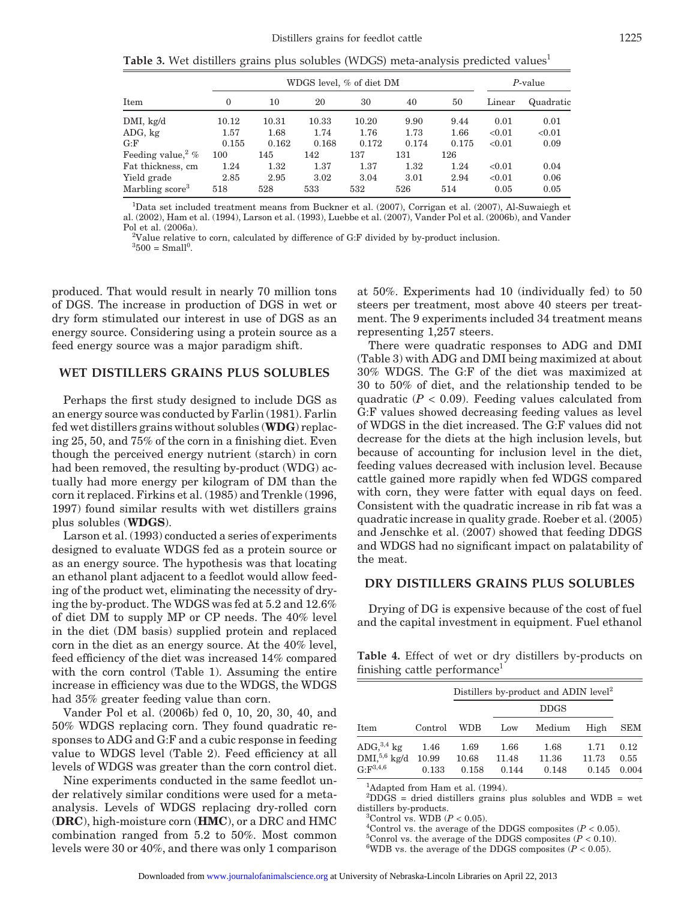**Table 3.** Wet distillers grains plus solubles (WDGS) meta-analysis predicted values<sup>1</sup>

|                                 |          | WDGS level, % of diet DM | $P$ -value |       |       |       |        |           |
|---------------------------------|----------|--------------------------|------------|-------|-------|-------|--------|-----------|
| Item                            | $\theta$ | 10                       | 20         | 30    | 40    | 50    | Linear | Quadratic |
| DMI, kg/d                       | 10.12    | 10.31                    | 10.33      | 10.20 | 9.90  | 9.44  | 0.01   | 0.01      |
| ADG, kg                         | 1.57     | 1.68                     | 1.74       | 1.76  | 1.73  | 1.66  | < 0.01 | < 0.01    |
| G: F                            | 0.155    | 0.162                    | 0.168      | 0.172 | 0.174 | 0.175 | < 0.01 | 0.09      |
| Feeding value, <sup>2</sup> $%$ | 100      | 145                      | 142        | 137   | 131   | 126   |        |           |
| Fat thickness, cm               | 1.24     | 1.32                     | 1.37       | 1.37  | 1.32  | 1.24  | < 0.01 | 0.04      |
| Yield grade                     | 2.85     | 2.95                     | 3.02       | 3.04  | 3.01  | 2.94  | < 0.01 | 0.06      |
| Marbling score <sup>3</sup>     | 518      | 528                      | 533        | 532   | 526   | 514   | 0.05   | 0.05      |

<sup>1</sup>Data set included treatment means from Buckner et al. (2007), Corrigan et al. (2007), Al-Suwaiegh et al. (2002), Ham et al. (1994), Larson et al. (1993), Luebbe et al. (2007), Vander Pol et al. (2006b), and Vander Pol et al. (2006a).

 $2$ Value relative to corn, calculated by difference of G:F divided by by-product inclusion.  $3500 = Small^0.$ 

produced. That would result in nearly 70 million tons of DGS. The increase in production of DGS in wet or dry form stimulated our interest in use of DGS as an energy source. Considering using a protein source as a feed energy source was a major paradigm shift.

#### **WET DISTILLERS GRAINS PLUS SOLUBLES**

Perhaps the first study designed to include DGS as an energy source was conducted by Farlin (1981). Farlin fed wet distillers grains without solubles (**WDG**) replacing 25, 50, and 75% of the corn in a finishing diet. Even though the perceived energy nutrient (starch) in corn had been removed, the resulting by-product (WDG) actually had more energy per kilogram of DM than the corn it replaced. Firkins et al. (1985) and Trenkle (1996, 1997) found similar results with wet distillers grains plus solubles (**WDGS**).

Larson et al. (1993) conducted a series of experiments designed to evaluate WDGS fed as a protein source or as an energy source. The hypothesis was that locating an ethanol plant adjacent to a feedlot would allow feeding of the product wet, eliminating the necessity of drying the by-product. The WDGS was fed at 5.2 and 12.6% of diet DM to supply MP or CP needs. The 40% level in the diet (DM basis) supplied protein and replaced corn in the diet as an energy source. At the 40% level, feed efficiency of the diet was increased 14% compared with the corn control (Table 1). Assuming the entire increase in efficiency was due to the WDGS, the WDGS had 35% greater feeding value than corn.

Vander Pol et al. (2006b) fed 0, 10, 20, 30, 40, and 50% WDGS replacing corn. They found quadratic responses to ADG and G:F and a cubic response in feeding value to WDGS level (Table 2). Feed efficiency at all levels of WDGS was greater than the corn control diet.

Nine experiments conducted in the same feedlot under relatively similar conditions were used for a metaanalysis. Levels of WDGS replacing dry-rolled corn (**DRC**), high-moisture corn (**HMC**), or a DRC and HMC combination ranged from 5.2 to 50%. Most common levels were 30 or 40%, and there was only 1 comparison

at 50%. Experiments had 10 (individually fed) to 50 steers per treatment, most above 40 steers per treatment. The 9 experiments included 34 treatment means representing 1,257 steers.

There were quadratic responses to ADG and DMI (Table 3) with ADG and DMI being maximized at about 30% WDGS. The G:F of the diet was maximized at 30 to 50% of diet, and the relationship tended to be quadratic  $(P < 0.09)$ . Feeding values calculated from G:F values showed decreasing feeding values as level of WDGS in the diet increased. The G:F values did not decrease for the diets at the high inclusion levels, but because of accounting for inclusion level in the diet, feeding values decreased with inclusion level. Because cattle gained more rapidly when fed WDGS compared with corn, they were fatter with equal days on feed. Consistent with the quadratic increase in rib fat was a quadratic increase in quality grade. Roeber et al. (2005) and Jenschke et al. (2007) showed that feeding DDGS and WDGS had no significant impact on palatability of the meat.

#### **DRY DISTILLERS GRAINS PLUS SOLUBLES**

Drying of DG is expensive because of the cost of fuel and the capital investment in equipment. Fuel ethanol

**Table 4.** Effect of wet or dry distillers by-products on finishing cattle performance<sup>1</sup>

|                                                                                |                        |                        |                        | Distillers by-product and ADIN level <sup>2</sup> |                        |                       |
|--------------------------------------------------------------------------------|------------------------|------------------------|------------------------|---------------------------------------------------|------------------------|-----------------------|
|                                                                                |                        |                        |                        | <b>DDGS</b>                                       |                        |                       |
| Item                                                                           | Control                | WDB                    | Low                    | Medium                                            | High                   | SEM                   |
| $\rm{ADG},^{3,4}$ kg<br>DMI <sub>2</sub> <sup>5,6</sup> kg/d<br>$G: F^{3,4,6}$ | 1.46<br>10.99<br>0.133 | 1.69<br>10.68<br>0.158 | 1.66<br>11.48<br>0.144 | 1.68<br>11.36<br>0.148                            | 1.71<br>11.73<br>0.145 | 0.12<br>0.55<br>0.004 |

<sup>1</sup>Adapted from Ham et al. (1994).

 ${}^{2}$ DD $\overline{GS}$  = dried distillers grains plus solubles and WDB = wet distillers by-products.

<sup>3</sup>Control vs. WDB ( $P < 0.05$ ).

<sup>4</sup>Control vs. the average of the DDGS composites  $(P < 0.05)$ .

<sup>5</sup>Conrol vs. the average of the DDGS composites  $(P < 0.10)$ .

<sup>6</sup>WDB vs. the average of the DDGS composites  $(P < 0.05)$ .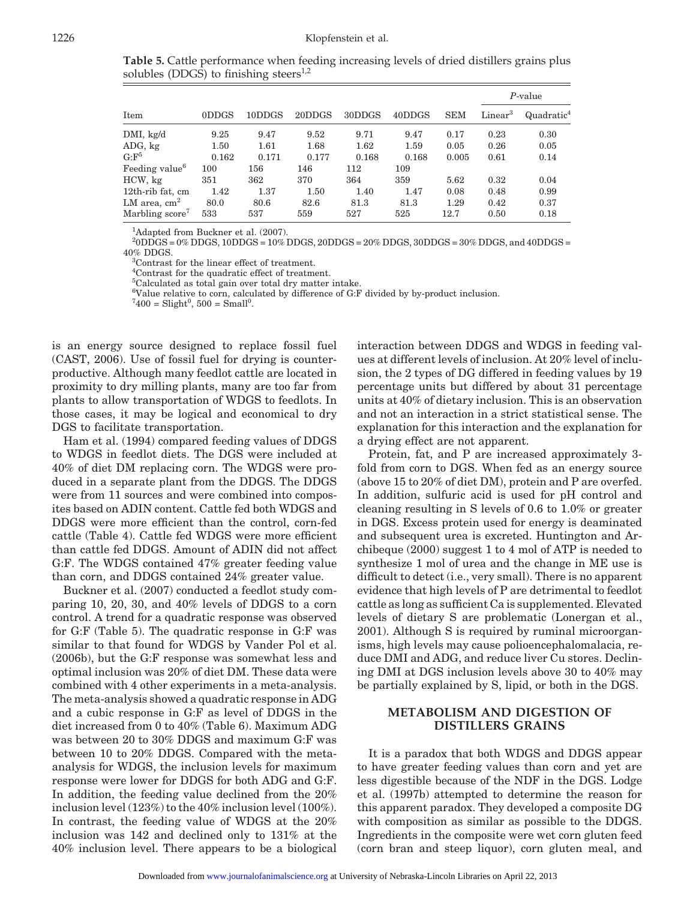**Table 5.** Cattle performance when feeding increasing levels of dried distillers grains plus solubles (DDGS) to finishing steers<sup>1,2</sup>

|                             |       |        |        |        |        |            |                     | $P$ -value             |
|-----------------------------|-------|--------|--------|--------|--------|------------|---------------------|------------------------|
| Item                        | 0DDGS | 10DDGS | 20DDGS | 30DDGS | 40DDGS | <b>SEM</b> | Linear <sup>3</sup> | Quadratic <sup>4</sup> |
| DMI, kg/d                   | 9.25  | 9.47   | 9.52   | 9.71   | 9.47   | 0.17       | 0.23                | 0.30                   |
| ADG, kg                     | 1.50  | 1.61   | 1.68   | 1.62   | 1.59   | 0.05       | 0.26                | 0.05                   |
| $G: F^5$                    | 0.162 | 0.171  | 0.177  | 0.168  | 0.168  | 0.005      | 0.61                | 0.14                   |
| Feeding value <sup>6</sup>  | 100   | 156    | 146    | 112    | 109    |            |                     |                        |
| HCW, kg                     | 351   | 362    | 370    | 364    | 359    | 5.62       | 0.32                | 0.04                   |
| 12th-rib fat, cm            | 1.42  | 1.37   | 1.50   | 1.40   | 1.47   | 0.08       | 0.48                | 0.99                   |
| LM area, $\rm cm^2$         | 80.0  | 80.6   | 82.6   | 81.3   | 81.3   | 1.29       | 0.42                | 0.37                   |
| Marbling score <sup>7</sup> | 533   | 537    | 559    | 527    | 525    | 12.7       | 0.50                | 0.18                   |

<sup>1</sup>Adapted from Buckner et al. (2007).

 $^20\rm{DDGS}$  = 0% DDGS, 10DDGS = 10% DDGS, 20DDGS = 20% DDGS, 30DDGS = 30% DDGS, and 40DDGS = 40% DDGS. <sup>3</sup>

Contrast for the linear effect of treatment.

4 Contrast for the quadratic effect of treatment.

5 Calculated as total gain over total dry matter intake.

<sup>6</sup>Value relative to corn, calculated by difference of G:F divided by by-product inclusion.

 $^7400 =$  Slight<sup>0</sup>, 500 = Small<sup>0</sup>.

is an energy source designed to replace fossil fuel (CAST, 2006). Use of fossil fuel for drying is counterproductive. Although many feedlot cattle are located in proximity to dry milling plants, many are too far from plants to allow transportation of WDGS to feedlots. In those cases, it may be logical and economical to dry DGS to facilitate transportation.

Ham et al. (1994) compared feeding values of DDGS to WDGS in feedlot diets. The DGS were included at 40% of diet DM replacing corn. The WDGS were produced in a separate plant from the DDGS. The DDGS were from 11 sources and were combined into composites based on ADIN content. Cattle fed both WDGS and DDGS were more efficient than the control, corn-fed cattle (Table 4). Cattle fed WDGS were more efficient than cattle fed DDGS. Amount of ADIN did not affect G:F. The WDGS contained 47% greater feeding value than corn, and DDGS contained 24% greater value.

Buckner et al. (2007) conducted a feedlot study comparing 10, 20, 30, and 40% levels of DDGS to a corn control. A trend for a quadratic response was observed for G:F (Table 5). The quadratic response in G:F was similar to that found for WDGS by Vander Pol et al. (2006b), but the G:F response was somewhat less and optimal inclusion was 20% of diet DM. These data were combined with 4 other experiments in a meta-analysis. The meta-analysis showed a quadratic response in ADG and a cubic response in G:F as level of DDGS in the diet increased from 0 to 40% (Table 6). Maximum ADG was between 20 to 30% DDGS and maximum G:F was between 10 to 20% DDGS. Compared with the metaanalysis for WDGS, the inclusion levels for maximum response were lower for DDGS for both ADG and G:F. In addition, the feeding value declined from the 20% inclusion level (123%) to the 40% inclusion level (100%). In contrast, the feeding value of WDGS at the 20% inclusion was 142 and declined only to 131% at the 40% inclusion level. There appears to be a biological

interaction between DDGS and WDGS in feeding values at different levels of inclusion. At 20% level of inclusion, the 2 types of DG differed in feeding values by 19 percentage units but differed by about 31 percentage units at 40% of dietary inclusion. This is an observation and not an interaction in a strict statistical sense. The explanation for this interaction and the explanation for a drying effect are not apparent.

Protein, fat, and P are increased approximately 3 fold from corn to DGS. When fed as an energy source (above 15 to 20% of diet DM), protein and P are overfed. In addition, sulfuric acid is used for pH control and cleaning resulting in S levels of 0.6 to 1.0% or greater in DGS. Excess protein used for energy is deaminated and subsequent urea is excreted. Huntington and Archibeque (2000) suggest 1 to 4 mol of ATP is needed to synthesize 1 mol of urea and the change in ME use is difficult to detect (i.e., very small). There is no apparent evidence that high levels of P are detrimental to feedlot cattle as long as sufficient Ca is supplemented. Elevated levels of dietary S are problematic (Lonergan et al., 2001). Although S is required by ruminal microorganisms, high levels may cause polioencephalomalacia, reduce DMI and ADG, and reduce liver Cu stores. Declining DMI at DGS inclusion levels above 30 to 40% may be partially explained by S, lipid, or both in the DGS.

#### **METABOLISM AND DIGESTION OF DISTILLERS GRAINS**

It is a paradox that both WDGS and DDGS appear to have greater feeding values than corn and yet are less digestible because of the NDF in the DGS. Lodge et al. (1997b) attempted to determine the reason for this apparent paradox. They developed a composite DG with composition as similar as possible to the DDGS. Ingredients in the composite were wet corn gluten feed (corn bran and steep liquor), corn gluten meal, and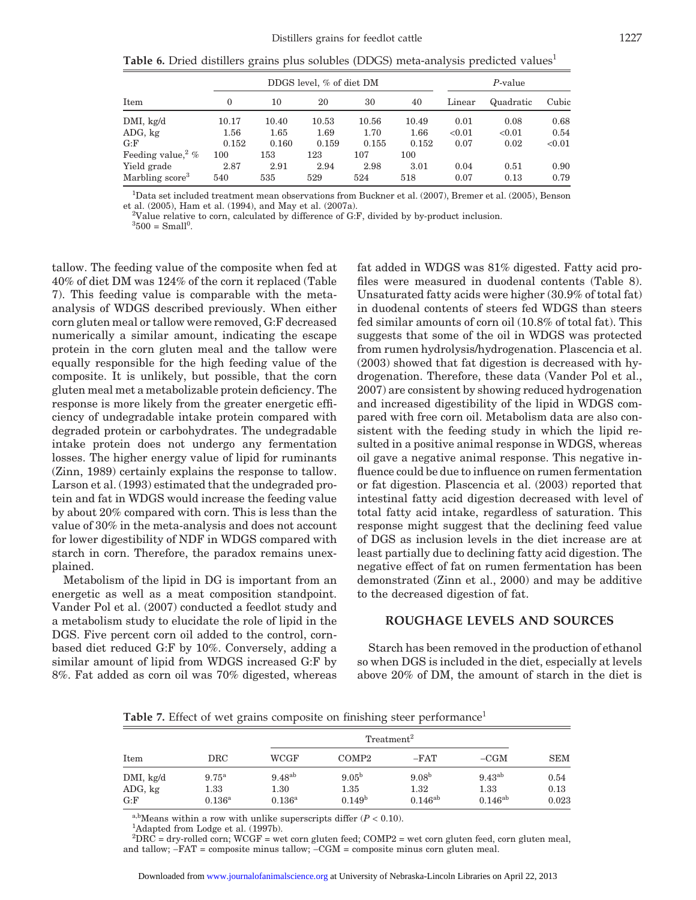**Table 6.** Dried distillers grains plus solubles (DDGS) meta-analysis predicted values<sup>1</sup>

|                               |          |       | DDGS level, % of diet DM | P-value |       |        |           |        |
|-------------------------------|----------|-------|--------------------------|---------|-------|--------|-----------|--------|
| Item                          | $\Omega$ | 10    | 20                       | 30      | 40    | Linear | Quadratic | Cubic  |
| DMI, kg/d                     | 10.17    | 10.40 | 10.53                    | 10.56   | 10.49 | 0.01   | 0.08      | 0.68   |
| ADG, kg                       | 1.56     | 1.65  | 1.69                     | 1.70    | 1.66  | < 0.01 | < 0.01    | 0.54   |
| G: F                          | 0.152    | 0.160 | 0.159                    | 0.155   | 0.152 | 0.07   | 0.02      | < 0.01 |
| Feeding value, <sup>2</sup> % | 100      | 153   | 123                      | 107     | 100   |        |           |        |
| Yield grade                   | 2.87     | 2.91  | 2.94                     | 2.98    | 3.01  | 0.04   | 0.51      | 0.90   |
| Marbling score <sup>3</sup>   | 540      | 535   | 529                      | 524     | 518   | 0.07   | 0.13      | 0.79   |

<sup>1</sup>Data set included treatment mean observations from Buckner et al. (2007), Bremer et al. (2005), Benson

et al. (2005), Ham et al. (1994), and May et al. (2007a). <sup>2</sup> <sup>2</sup>Value relative to corn, calculated by difference of G:F, divided by by-product inclusion.

 ${}^{3}500 = Small^{0}.$ 

tallow. The feeding value of the composite when fed at 40% of diet DM was 124% of the corn it replaced (Table 7). This feeding value is comparable with the metaanalysis of WDGS described previously. When either corn gluten meal or tallow were removed, G:F decreased numerically a similar amount, indicating the escape protein in the corn gluten meal and the tallow were equally responsible for the high feeding value of the composite. It is unlikely, but possible, that the corn gluten meal met a metabolizable protein deficiency. The response is more likely from the greater energetic efficiency of undegradable intake protein compared with degraded protein or carbohydrates. The undegradable intake protein does not undergo any fermentation losses. The higher energy value of lipid for ruminants (Zinn, 1989) certainly explains the response to tallow. Larson et al. (1993) estimated that the undegraded protein and fat in WDGS would increase the feeding value by about 20% compared with corn. This is less than the value of 30% in the meta-analysis and does not account for lower digestibility of NDF in WDGS compared with starch in corn. Therefore, the paradox remains unexplained.

Metabolism of the lipid in DG is important from an energetic as well as a meat composition standpoint. Vander Pol et al. (2007) conducted a feedlot study and a metabolism study to elucidate the role of lipid in the DGS. Five percent corn oil added to the control, cornbased diet reduced G:F by 10%. Conversely, adding a similar amount of lipid from WDGS increased G:F by 8%. Fat added as corn oil was 70% digested, whereas fat added in WDGS was 81% digested. Fatty acid profiles were measured in duodenal contents (Table 8). Unsaturated fatty acids were higher (30.9% of total fat) in duodenal contents of steers fed WDGS than steers fed similar amounts of corn oil (10.8% of total fat). This suggests that some of the oil in WDGS was protected from rumen hydrolysis/hydrogenation. Plascencia et al. (2003) showed that fat digestion is decreased with hydrogenation. Therefore, these data (Vander Pol et al., 2007) are consistent by showing reduced hydrogenation and increased digestibility of the lipid in WDGS compared with free corn oil. Metabolism data are also consistent with the feeding study in which the lipid resulted in a positive animal response in WDGS, whereas oil gave a negative animal response. This negative influence could be due to influence on rumen fermentation or fat digestion. Plascencia et al. (2003) reported that intestinal fatty acid digestion decreased with level of total fatty acid intake, regardless of saturation. This response might suggest that the declining feed value of DGS as inclusion levels in the diet increase are at least partially due to declining fatty acid digestion. The negative effect of fat on rumen fermentation has been demonstrated (Zinn et al., 2000) and may be additive to the decreased digestion of fat.

#### **ROUGHAGE LEVELS AND SOURCES**

Starch has been removed in the production of ethanol so when DGS is included in the diet, especially at levels above 20% of DM, the amount of starch in the diet is

**Table 7.** Effect of wet grains composite on finishing steer performance<sup>1</sup>

|                              |                                           |                                    | Treatment <sup>2</sup>                   |                                           |                                     |                       |
|------------------------------|-------------------------------------------|------------------------------------|------------------------------------------|-------------------------------------------|-------------------------------------|-----------------------|
| Item                         | $_{\mathrm{DRC}}$                         | <b>WCGF</b>                        | COMP <sub>2</sub>                        | $-FAT$                                    | $-CGM$                              | <b>SEM</b>            |
| DMI, kg/d<br>ADG, kg<br>G: F | $9.75^{\rm a}$<br>$1.33\,$<br>$0.136^{a}$ | $9.48^{ab}$<br>1.30<br>$0.136^{a}$ | $9.05^{b}$<br>1.35<br>0.149 <sup>b</sup> | 9.08 <sup>b</sup><br>1.32<br>$0.146^{ab}$ | $9.43^{ab}$<br>1.33<br>$0.146^{ab}$ | 0.54<br>0.13<br>0.023 |

a,b<sub>Means</sub> within a row with unlike superscripts differ  $(P < 0.10)$ .

<sup>1</sup>Adapted from Lodge et al. (1997b).

 $^{2}\text{DR}\r \tilde{C} = \text{dry-rolled corn};$   $\text{WCGF} = \text{wet corn gluten feed};$   $\text{COMP2} = \text{wet corn gluten feed},$   $\text{corn gluten meal},$ and tallow; −FAT = composite minus tallow; −CGM = composite minus corn gluten meal.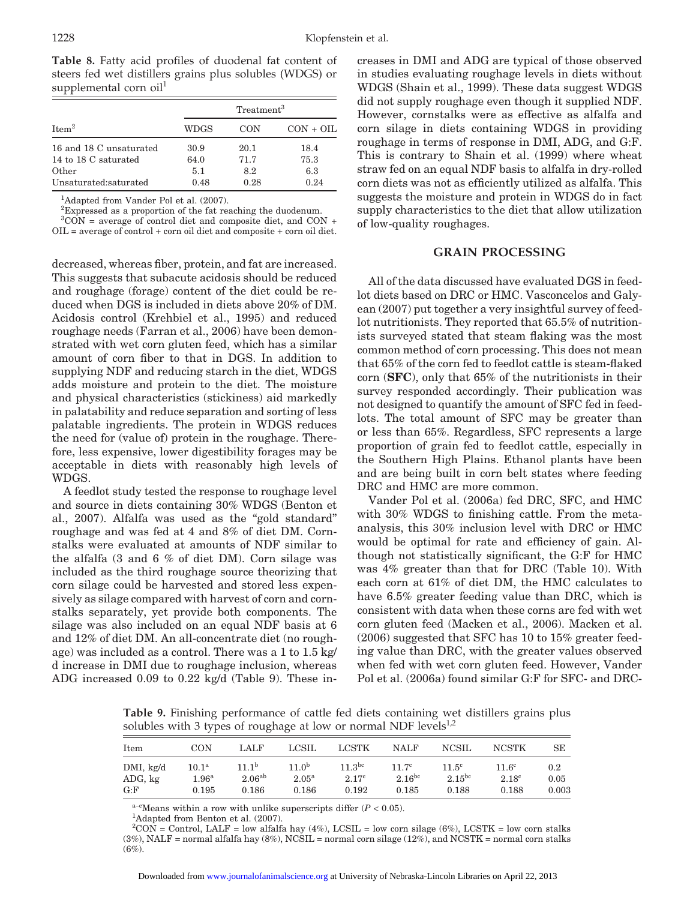**Table 8.** Fatty acid profiles of duodenal fat content of steers fed wet distillers grains plus solubles (WDGS) or supplemental corn oil<sup>1</sup>

|                         | Treatment <sup>3</sup> |      |             |  |  |  |
|-------------------------|------------------------|------|-------------|--|--|--|
| Item <sup>2</sup>       | WDGS                   | CON  | $CON + OIL$ |  |  |  |
| 16 and 18 C unsaturated | 30.9                   | 20.1 | 18.4        |  |  |  |
| 14 to 18 C saturated    | 64.0                   | 71.7 | 75.3        |  |  |  |
| Other                   | 5.1                    | 8.2  | 6.3         |  |  |  |
| Unsaturated:saturated   | 0.48                   | 0.28 | 0.24        |  |  |  |

<sup>1</sup>Adapted from Vander Pol et al. (2007).

 ${}^{2}$ Expressed as a proportion of the fat reaching the duodenum.

3 CON = average of control diet and composite diet, and CON + OIL = average of control + corn oil diet and composite + corn oil diet.

decreased, whereas fiber, protein, and fat are increased. This suggests that subacute acidosis should be reduced and roughage (forage) content of the diet could be reduced when DGS is included in diets above 20% of DM. Acidosis control (Krehbiel et al., 1995) and reduced roughage needs (Farran et al., 2006) have been demonstrated with wet corn gluten feed, which has a similar amount of corn fiber to that in DGS. In addition to supplying NDF and reducing starch in the diet, WDGS adds moisture and protein to the diet. The moisture and physical characteristics (stickiness) aid markedly in palatability and reduce separation and sorting of less palatable ingredients. The protein in WDGS reduces the need for (value of) protein in the roughage. Therefore, less expensive, lower digestibility forages may be acceptable in diets with reasonably high levels of WDGS.

A feedlot study tested the response to roughage level and source in diets containing 30% WDGS (Benton et al., 2007). Alfalfa was used as the "gold standard" roughage and was fed at 4 and 8% of diet DM. Cornstalks were evaluated at amounts of NDF similar to the alfalfa (3 and 6 % of diet DM). Corn silage was included as the third roughage source theorizing that corn silage could be harvested and stored less expensively as silage compared with harvest of corn and cornstalks separately, yet provide both components. The silage was also included on an equal NDF basis at 6 and 12% of diet DM. An all-concentrate diet (no roughage) was included as a control. There was a 1 to 1.5 kg/ d increase in DMI due to roughage inclusion, whereas ADG increased 0.09 to 0.22 kg/d (Table 9). These increases in DMI and ADG are typical of those observed in studies evaluating roughage levels in diets without WDGS (Shain et al., 1999). These data suggest WDGS did not supply roughage even though it supplied NDF. However, cornstalks were as effective as alfalfa and corn silage in diets containing WDGS in providing roughage in terms of response in DMI, ADG, and G:F. This is contrary to Shain et al. (1999) where wheat straw fed on an equal NDF basis to alfalfa in dry-rolled corn diets was not as efficiently utilized as alfalfa. This suggests the moisture and protein in WDGS do in fact supply characteristics to the diet that allow utilization of low-quality roughages.

#### **GRAIN PROCESSING**

All of the data discussed have evaluated DGS in feedlot diets based on DRC or HMC. Vasconcelos and Galyean (2007) put together a very insightful survey of feedlot nutritionists. They reported that 65.5% of nutritionists surveyed stated that steam flaking was the most common method of corn processing. This does not mean that 65% of the corn fed to feedlot cattle is steam-flaked corn (**SFC**), only that 65% of the nutritionists in their survey responded accordingly. Their publication was not designed to quantify the amount of SFC fed in feedlots. The total amount of SFC may be greater than or less than 65%. Regardless, SFC represents a large proportion of grain fed to feedlot cattle, especially in the Southern High Plains. Ethanol plants have been and are being built in corn belt states where feeding DRC and HMC are more common.

Vander Pol et al. (2006a) fed DRC, SFC, and HMC with 30% WDGS to finishing cattle. From the metaanalysis, this 30% inclusion level with DRC or HMC would be optimal for rate and efficiency of gain. Although not statistically significant, the G:F for HMC was 4% greater than that for DRC (Table 10). With each corn at 61% of diet DM, the HMC calculates to have 6.5% greater feeding value than DRC, which is consistent with data when these corns are fed with wet corn gluten feed (Macken et al., 2006). Macken et al. (2006) suggested that SFC has 10 to 15% greater feeding value than DRC, with the greater values observed when fed with wet corn gluten feed. However, Vander Pol et al. (2006a) found similar G:F for SFC- and DRC-

**Table 9.** Finishing performance of cattle fed diets containing wet distillers grains plus solubles with 3 types of roughage at low or normal NDF levels $1/2$ 

| Item      | <b>CON</b>        | LALF           | LCSIL               | <b>LCSTK</b>      | <b>NALF</b>       | <b>NCSIL</b>   | <b>NCSTK</b>      | SE    |
|-----------|-------------------|----------------|---------------------|-------------------|-------------------|----------------|-------------------|-------|
| DMI, kg/d | 10.1 <sup>a</sup> | $11.1^{\rm b}$ | 11.0 <sup>b</sup>   | $11.3$ bc         | 11.7 <sup>c</sup> | $11.5^{\circ}$ | $11.6^\circ$      | 0.2   |
| ADG, kg   | 1.96 <sup>a</sup> | $2.06^{ab}$    | $2.05^{\mathrm{a}}$ | 2.17 <sup>c</sup> | $2.16^{bc}$       | $2.15^{bc}$    | 2.18 <sup>c</sup> | 0.05  |
| G: F      | 0.195             | 0.186          | 0.186               | 0.192             | 0.185             | 0.188          | 0.188             | 0.003 |

<sup>a-c</sup>Means within a row with unlike superscripts differ  $(P < 0.05)$ .

<sup>1</sup>Adapted from Benton et al. (2007).

 $2\text{CON} = \text{Control}, \text{LALF} = \text{low} \text{ alfalfa hay } (4\%), \text{LCSIL} = \text{low} \text{ corn } \text{silage } (6\%), \text{LCSTK} = \text{low} \text{ corn } \text{stalks}$  $(3\%)$ , NALF = normal alfalfa hay  $(8\%)$ , NCSIL = normal corn silage  $(12\%)$ , and NCSTK = normal corn stalks (6%).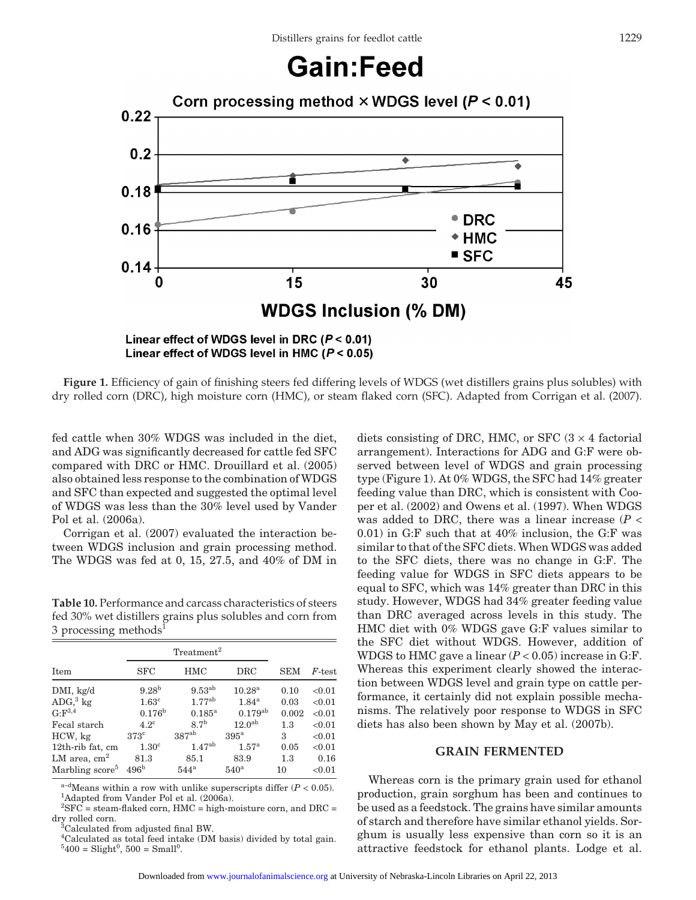# **Gain:Feed**



**Figure 1.** Efficiency of gain of finishing steers fed differing levels of WDGS (wet distillers grains plus solubles) with dry rolled corn (DRC), high moisture corn (HMC), or steam flaked corn (SFC). Adapted from Corrigan et al. (2007).

fed cattle when 30% WDGS was included in the diet, and ADG was significantly decreased for cattle fed SFC compared with DRC or HMC. Drouillard et al. (2005) also obtained less response to the combination of WDGS and SFC than expected and suggested the optimal level of WDGS was less than the 30% level used by Vander Pol et al. (2006a).

Corrigan et al. (2007) evaluated the interaction between WDGS inclusion and grain processing method. The WDGS was fed at 0, 15, 27.5, and 40% of DM in

**Table 10.** Performance and carcass characteristics of steers fed 30% wet distillers grains plus solubles and corn from 3 processing methods<sup>1</sup>

|                             |                   | Treatment <sup>2</sup> |                    |            |                 |
|-----------------------------|-------------------|------------------------|--------------------|------------|-----------------|
| Item                        | <b>SFC</b>        | HMC                    | DRC                | <b>SEM</b> | $F\text{-test}$ |
| DMI, kg/d                   | 9.28 <sup>b</sup> | $9.53^{ab}$            | 10.28 <sup>a</sup> | 0.10       | < 0.01          |
| $ADG23$ kg                  | $1.63^{\circ}$    | $1.77^{ab}$            | 1.84 <sup>a</sup>  | 0.03       | < 0.01          |
| $G: F^{3,4}$                | $0.176^{\rm b}$   | $0.185^{a}$            | $0.179^{ab}$       | 0.002      | < 0.01          |
| Fecal starch                | 4.2 <sup>c</sup>  | 8.7 <sup>b</sup>       | 12.0 <sup>ab</sup> | 1.3        | < 0.01          |
| HCW, kg                     | 373 <sup>c</sup>  | $387^{ab}$             | $395^{\mathrm{a}}$ | 3          | < 0.01          |
| 12th-rib fat, cm            | 1.30 <sup>c</sup> | $1.47^{ab}$            | 1.57 <sup>a</sup>  | 0.05       | < 0.01          |
| LM area, $cm2$              | 81.3              | 85.1                   | 83.9               | 1.3        | 0.16            |
| Marbling score <sup>5</sup> | 496 <sup>b</sup>  | 544 <sup>a</sup>       | 540 <sup>a</sup>   | 10         | < 0.01          |

 $a-d$ Means within a row with unlike superscripts differ ( $P < 0.05$ ). <sup>1</sup>Adapted from Vander Pol et al.  $(200\bar{6}a)$ .

 ${}^{2}SFC$  = steam-flaked corn, HMC = high-moisture corn, and DRC = dry rolled corn.

Calculated from adjusted final BW.

4 Calculated as total feed intake (DM basis) divided by total gain.  $5400 =$ Slight<sup>0</sup>, 500 = Small<sup>0</sup>.

diets consisting of DRC, HMC, or SFC  $(3 \times 4$  factorial arrangement). Interactions for ADG and G:F were observed between level of WDGS and grain processing type (Figure 1). At 0% WDGS, the SFC had 14% greater feeding value than DRC, which is consistent with Cooper et al. (2002) and Owens et al. (1997). When WDGS was added to DRC, there was a linear increase (*P* < 0.01) in G:F such that at 40% inclusion, the G:F was similar to that of the SFC diets. When WDGS was added to the SFC diets, there was no change in G:F. The feeding value for WDGS in SFC diets appears to be equal to SFC, which was 14% greater than DRC in this study. However, WDGS had 34% greater feeding value than DRC averaged across levels in this study. The HMC diet with 0% WDGS gave G:F values similar to the SFC diet without WDGS. However, addition of WDGS to HMC gave a linear  $(P < 0.05)$  increase in G:F. Whereas this experiment clearly showed the interaction between WDGS level and grain type on cattle performance, it certainly did not explain possible mechanisms. The relatively poor response to WDGS in SFC diets has also been shown by May et al. (2007b).

#### **GRAIN FERMENTED**

Whereas corn is the primary grain used for ethanol production, grain sorghum has been and continues to be used as a feedstock. The grains have similar amounts of starch and therefore have similar ethanol yields. Sorghum is usually less expensive than corn so it is an attractive feedstock for ethanol plants. Lodge et al.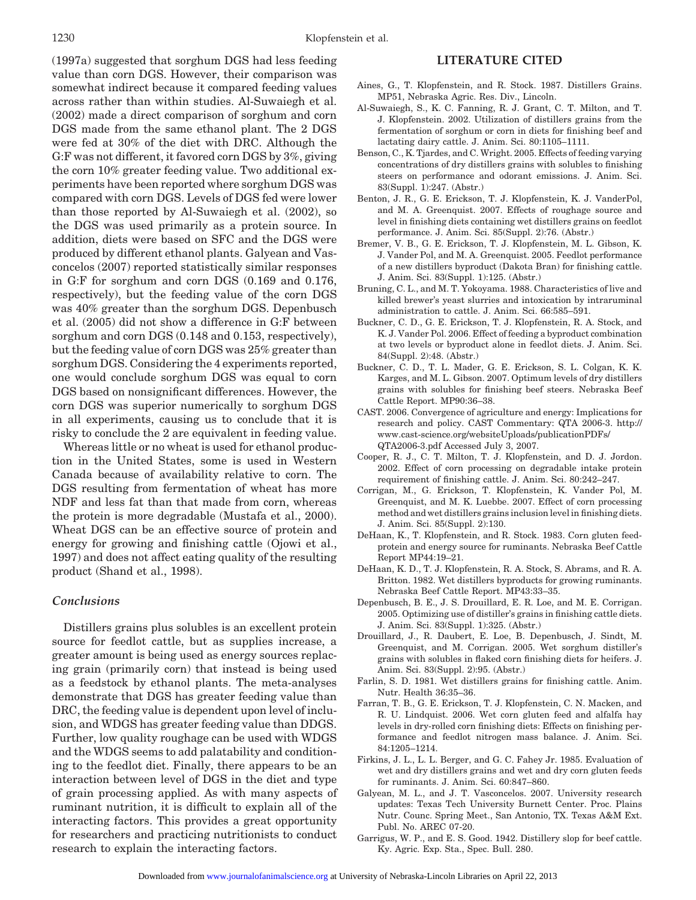(1997a) suggested that sorghum DGS had less feeding value than corn DGS. However, their comparison was somewhat indirect because it compared feeding values across rather than within studies. Al-Suwaiegh et al. (2002) made a direct comparison of sorghum and corn DGS made from the same ethanol plant. The 2 DGS were fed at 30% of the diet with DRC. Although the G:F was not different, it favored corn DGS by 3%, giving the corn 10% greater feeding value. Two additional experiments have been reported where sorghum DGS was compared with corn DGS. Levels of DGS fed were lower than those reported by Al-Suwaiegh et al. (2002), so the DGS was used primarily as a protein source. In addition, diets were based on SFC and the DGS were produced by different ethanol plants. Galyean and Vasconcelos (2007) reported statistically similar responses in G:F for sorghum and corn DGS (0.169 and 0.176, respectively), but the feeding value of the corn DGS was 40% greater than the sorghum DGS. Depenbusch et al. (2005) did not show a difference in G:F between sorghum and corn DGS (0.148 and 0.153, respectively), but the feeding value of corn DGS was 25% greater than sorghum DGS. Considering the 4 experiments reported, one would conclude sorghum DGS was equal to corn DGS based on nonsignificant differences. However, the corn DGS was superior numerically to sorghum DGS in all experiments, causing us to conclude that it is risky to conclude the 2 are equivalent in feeding value.

Whereas little or no wheat is used for ethanol production in the United States, some is used in Western Canada because of availability relative to corn. The DGS resulting from fermentation of wheat has more NDF and less fat than that made from corn, whereas the protein is more degradable (Mustafa et al., 2000). Wheat DGS can be an effective source of protein and energy for growing and finishing cattle (Ojowi et al., 1997) and does not affect eating quality of the resulting product (Shand et al., 1998).

#### *Conclusions*

Distillers grains plus solubles is an excellent protein source for feedlot cattle, but as supplies increase, a greater amount is being used as energy sources replacing grain (primarily corn) that instead is being used as a feedstock by ethanol plants. The meta-analyses demonstrate that DGS has greater feeding value than DRC, the feeding value is dependent upon level of inclusion, and WDGS has greater feeding value than DDGS. Further, low quality roughage can be used with WDGS and the WDGS seems to add palatability and conditioning to the feedlot diet. Finally, there appears to be an interaction between level of DGS in the diet and type of grain processing applied. As with many aspects of ruminant nutrition, it is difficult to explain all of the interacting factors. This provides a great opportunity for researchers and practicing nutritionists to conduct research to explain the interacting factors.

#### **LITERATURE CITED**

- Aines, G., T. Klopfenstein, and R. Stock. 1987. Distillers Grains. MP51, Nebraska Agric. Res. Div., Lincoln.
- Al-Suwaiegh, S., K. C. Fanning, R. J. Grant, C. T. Milton, and T. J. Klopfenstein. 2002. Utilization of distillers grains from the fermentation of sorghum or corn in diets for finishing beef and lactating dairy cattle. J. Anim. Sci. 80:1105–1111.
- Benson, C., K. Tjardes, and C. Wright. 2005. Effects of feeding varying concentrations of dry distillers grains with solubles to finishing steers on performance and odorant emissions. J. Anim. Sci. 83(Suppl. 1):247. (Abstr.)
- Benton, J. R., G. E. Erickson, T. J. Klopfenstein, K. J. VanderPol, and M. A. Greenquist. 2007. Effects of roughage source and level in finishing diets containing wet distillers grains on feedlot performance. J. Anim. Sci. 85(Suppl. 2):76. (Abstr.)
- Bremer, V. B., G. E. Erickson, T. J. Klopfenstein, M. L. Gibson, K. J. Vander Pol, and M. A. Greenquist. 2005. Feedlot performance of a new distillers byproduct (Dakota Bran) for finishing cattle. J. Anim. Sci. 83(Suppl. 1):125. (Abstr.)
- Bruning, C. L., and M. T. Yokoyama. 1988. Characteristics of live and killed brewer's yeast slurries and intoxication by intraruminal administration to cattle. J. Anim. Sci. 66:585–591.
- Buckner, C. D., G. E. Erickson, T. J. Klopfenstein, R. A. Stock, and K. J. Vander Pol. 2006. Effect of feeding a byproduct combination at two levels or byproduct alone in feedlot diets. J. Anim. Sci. 84(Suppl. 2):48. (Abstr.)
- Buckner, C. D., T. L. Mader, G. E. Erickson, S. L. Colgan, K. K. Karges, and M. L. Gibson. 2007. Optimum levels of dry distillers grains with solubles for finishing beef steers. Nebraska Beef Cattle Report. MP90:36–38.
- CAST. 2006. Convergence of agriculture and energy: Implications for research and policy. CAST Commentary: QTA 2006-3. http:// www.cast-science.org/websiteUploads/publicationPDFs/ QTA2006-3.pdf Accessed July 3, 2007.
- Cooper, R. J., C. T. Milton, T. J. Klopfenstein, and D. J. Jordon. 2002. Effect of corn processing on degradable intake protein requirement of finishing cattle. J. Anim. Sci. 80:242–247.
- Corrigan, M., G. Erickson, T. Klopfenstein, K. Vander Pol, M. Greenquist, and M. K. Luebbe. 2007. Effect of corn processing method and wet distillers grains inclusion level in finishing diets. J. Anim. Sci. 85(Suppl. 2):130.
- DeHaan, K., T. Klopfenstein, and R. Stock. 1983. Corn gluten feedprotein and energy source for ruminants. Nebraska Beef Cattle Report MP44:19–21.
- DeHaan, K. D., T. J. Klopfenstein, R. A. Stock, S. Abrams, and R. A. Britton. 1982. Wet distillers byproducts for growing ruminants. Nebraska Beef Cattle Report. MP43:33–35.
- Depenbusch, B. E., J. S. Drouillard, E. R. Loe, and M. E. Corrigan. 2005. Optimizing use of distiller's grains in finishing cattle diets. J. Anim. Sci. 83(Suppl. 1):325. (Abstr.)
- Drouillard, J., R. Daubert, E. Loe, B. Depenbusch, J. Sindt, M. Greenquist, and M. Corrigan. 2005. Wet sorghum distiller's grains with solubles in flaked corn finishing diets for heifers. J. Anim. Sci. 83(Suppl. 2):95. (Abstr.)
- Farlin, S. D. 1981. Wet distillers grains for finishing cattle. Anim. Nutr. Health 36:35–36.
- Farran, T. B., G. E. Erickson, T. J. Klopfenstein, C. N. Macken, and R. U. Lindquist. 2006. Wet corn gluten feed and alfalfa hay levels in dry-rolled corn finishing diets: Effects on finishing performance and feedlot nitrogen mass balance. J. Anim. Sci. 84:1205–1214.
- Firkins, J. L., L. L. Berger, and G. C. Fahey Jr. 1985. Evaluation of wet and dry distillers grains and wet and dry corn gluten feeds for ruminants. J. Anim. Sci. 60:847–860.
- Galyean, M. L., and J. T. Vasconcelos. 2007. University research updates: Texas Tech University Burnett Center. Proc. Plains Nutr. Counc. Spring Meet., San Antonio, TX. Texas A&M Ext. Publ. No. AREC 07-20.
- Garrigus, W. P., and E. S. Good. 1942. Distillery slop for beef cattle. Ky. Agric. Exp. Sta., Spec. Bull. 280.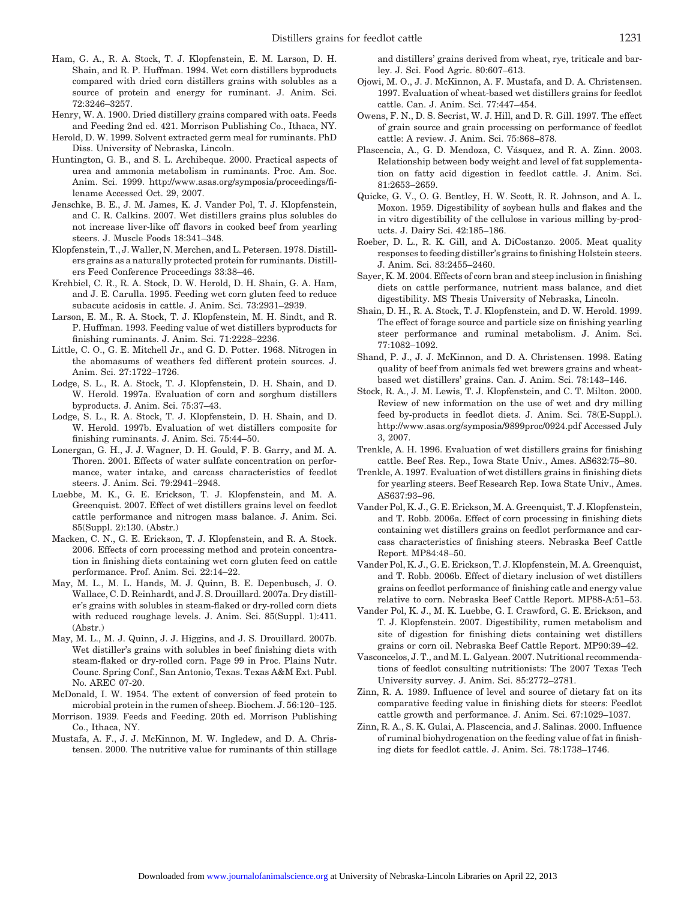- Ham, G. A., R. A. Stock, T. J. Klopfenstein, E. M. Larson, D. H. Shain, and R. P. Huffman. 1994. Wet corn distillers byproducts compared with dried corn distillers grains with solubles as a source of protein and energy for ruminant. J. Anim. Sci. 72:3246–3257.
- Henry, W. A. 1900. Dried distillery grains compared with oats. Feeds and Feeding 2nd ed. 421. Morrison Publishing Co., Ithaca, NY.
- Herold, D. W. 1999. Solvent extracted germ meal for ruminants. PhD Diss. University of Nebraska, Lincoln.
- Huntington, G. B., and S. L. Archibeque. 2000. Practical aspects of urea and ammonia metabolism in ruminants. Proc. Am. Soc. Anim. Sci. 1999. http://www.asas.org/symposia/proceedings/filename Accessed Oct. 29, 2007.
- Jenschke, B. E., J. M. James, K. J. Vander Pol, T. J. Klopfenstein, and C. R. Calkins. 2007. Wet distillers grains plus solubles do not increase liver-like off flavors in cooked beef from yearling steers. J. Muscle Foods 18:341–348.
- Klopfenstein, T., J. Waller, N. Merchen, and L. Petersen. 1978. Distillers grains as a naturally protected protein for ruminants. Distillers Feed Conference Proceedings 33:38–46.
- Krehbiel, C. R., R. A. Stock, D. W. Herold, D. H. Shain, G. A. Ham, and J. E. Carulla. 1995. Feeding wet corn gluten feed to reduce subacute acidosis in cattle. J. Anim. Sci. 73:2931–2939.
- Larson, E. M., R. A. Stock, T. J. Klopfenstein, M. H. Sindt, and R. P. Huffman. 1993. Feeding value of wet distillers byproducts for finishing ruminants. J. Anim. Sci. 71:2228–2236.
- Little, C. O., G. E. Mitchell Jr., and G. D. Potter. 1968. Nitrogen in the abomasums of weathers fed different protein sources. J. Anim. Sci. 27:1722–1726.
- Lodge, S. L., R. A. Stock, T. J. Klopfenstein, D. H. Shain, and D. W. Herold. 1997a. Evaluation of corn and sorghum distillers byproducts. J. Anim. Sci. 75:37–43.
- Lodge, S. L., R. A. Stock, T. J. Klopfenstein, D. H. Shain, and D. W. Herold. 1997b. Evaluation of wet distillers composite for finishing ruminants. J. Anim. Sci. 75:44–50.
- Lonergan, G. H., J. J. Wagner, D. H. Gould, F. B. Garry, and M. A. Thoren. 2001. Effects of water sulfate concentration on performance, water intake, and carcass characteristics of feedlot steers. J. Anim. Sci. 79:2941–2948.
- Luebbe, M. K., G. E. Erickson, T. J. Klopfenstein, and M. A. Greenquist. 2007. Effect of wet distillers grains level on feedlot cattle performance and nitrogen mass balance. J. Anim. Sci. 85(Suppl. 2):130. (Abstr.)
- Macken, C. N., G. E. Erickson, T. J. Klopfenstein, and R. A. Stock. 2006. Effects of corn processing method and protein concentration in finishing diets containing wet corn gluten feed on cattle performance. Prof. Anim. Sci. 22:14–22.
- May, M. L., M. L. Hands, M. J. Quinn, B. E. Depenbusch, J. O. Wallace, C. D. Reinhardt, and J. S. Drouillard. 2007a. Dry distiller's grains with solubles in steam-flaked or dry-rolled corn diets with reduced roughage levels. J. Anim. Sci. 85(Suppl. 1):411. (Abstr.)
- May, M. L., M. J. Quinn, J. J. Higgins, and J. S. Drouillard. 2007b. Wet distiller's grains with solubles in beef finishing diets with steam-flaked or dry-rolled corn. Page 99 in Proc. Plains Nutr. Counc. Spring Conf., San Antonio, Texas. Texas A&M Ext. Publ. No. AREC 07-20.
- McDonald, I. W. 1954. The extent of conversion of feed protein to microbial protein in the rumen of sheep. Biochem. J. 56:120–125.
- Morrison. 1939. Feeds and Feeding. 20th ed. Morrison Publishing Co., Ithaca, NY.
- Mustafa, A. F., J. J. McKinnon, M. W. Ingledew, and D. A. Christensen. 2000. The nutritive value for ruminants of thin stillage

and distillers' grains derived from wheat, rye, triticale and barley. J. Sci. Food Agric. 80:607–613.

- Ojowi, M. O., J. J. McKinnon, A. F. Mustafa, and D. A. Christensen. 1997. Evaluation of wheat-based wet distillers grains for feedlot cattle. Can. J. Anim. Sci. 77:447–454.
- Owens, F. N., D. S. Secrist, W. J. Hill, and D. R. Gill. 1997. The effect of grain source and grain processing on performance of feedlot cattle: A review. J. Anim. Sci. 75:868–878.
- Plascencia, A., G. D. Mendoza, C. Vásquez, and R. A. Zinn. 2003. Relationship between body weight and level of fat supplementation on fatty acid digestion in feedlot cattle. J. Anim. Sci. 81:2653–2659.
- Quicke, G. V., O. G. Bentley, H. W. Scott, R. R. Johnson, and A. L. Moxon. 1959. Digestibility of soybean hulls and flakes and the in vitro digestibility of the cellulose in various milling by-products. J. Dairy Sci. 42:185–186.
- Roeber, D. L., R. K. Gill, and A. DiCostanzo. 2005. Meat quality responses to feeding distiller's grains to finishing Holstein steers. J. Anim. Sci. 83:2455–2460.
- Sayer, K. M. 2004. Effects of corn bran and steep inclusion in finishing diets on cattle performance, nutrient mass balance, and diet digestibility. MS Thesis University of Nebraska, Lincoln.
- Shain, D. H., R. A. Stock, T. J. Klopfenstein, and D. W. Herold. 1999. The effect of forage source and particle size on finishing yearling steer performance and ruminal metabolism. J. Anim. Sci. 77:1082–1092.
- Shand, P. J., J. J. McKinnon, and D. A. Christensen. 1998. Eating quality of beef from animals fed wet brewers grains and wheatbased wet distillers' grains. Can. J. Anim. Sci. 78:143–146.
- Stock, R. A., J. M. Lewis, T. J. Klopfenstein, and C. T. Milton. 2000. Review of new information on the use of wet and dry milling feed by-products in feedlot diets. J. Anim. Sci. 78(E-Suppl.). http://www.asas.org/symposia/9899proc/0924.pdf Accessed July 3, 2007.
- Trenkle, A. H. 1996. Evaluation of wet distillers grains for finishing cattle. Beef Res. Rep., Iowa State Univ., Ames. AS632:75–80.
- Trenkle, A. 1997. Evaluation of wet distillers grains in finishing diets for yearling steers. Beef Research Rep. Iowa State Univ., Ames. AS637:93–96.
- Vander Pol, K. J., G. E. Erickson, M. A. Greenquist, T. J. Klopfenstein, and T. Robb. 2006a. Effect of corn processing in finishing diets containing wet distillers grains on feedlot performance and carcass characteristics of finishing steers. Nebraska Beef Cattle Report. MP84:48–50.
- Vander Pol, K. J., G. E. Erickson, T. J. Klopfenstein, M. A. Greenquist, and T. Robb. 2006b. Effect of dietary inclusion of wet distillers grains on feedlot performance of finishing catle and energy value relative to corn. Nebraska Beef Cattle Report. MP88-A:51–53.
- Vander Pol, K. J., M. K. Luebbe, G. I. Crawford, G. E. Erickson, and T. J. Klopfenstein. 2007. Digestibility, rumen metabolism and site of digestion for finishing diets containing wet distillers grains or corn oil. Nebraska Beef Cattle Report. MP90:39–42.
- Vasconcelos, J. T., and M. L. Galyean. 2007. Nutritional recommendations of feedlot consulting nutritionists: The 2007 Texas Tech University survey. J. Anim. Sci. 85:2772–2781.
- Zinn, R. A. 1989. Influence of level and source of dietary fat on its comparative feeding value in finishing diets for steers: Feedlot cattle growth and performance. J. Anim. Sci. 67:1029–1037.
- Zinn, R. A., S. K. Gulai, A. Plascencia, and J. Salinas. 2000. Influence of ruminal biohydrogenation on the feeding value of fat in finishing diets for feedlot cattle. J. Anim. Sci. 78:1738–1746.